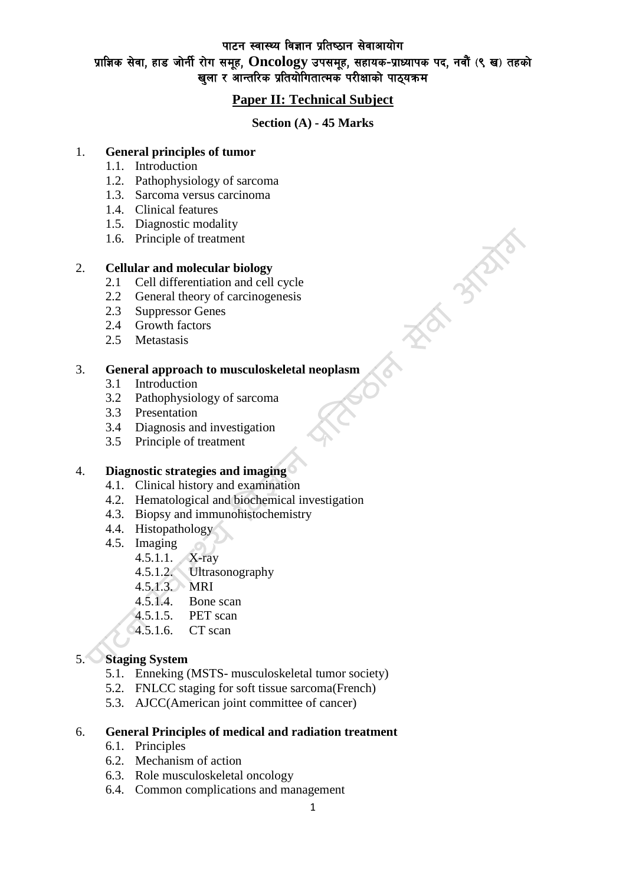पाटन स्वास्थ्य विज्ञान प्रतिष्ठान सेवाआयोग

# प्राज्ञिक सेवा, हाड जोर्नी रोग समूह, Oncology उपसमूह, सहायक-प्राध्यापक पद, नवौं (९ ख) तहको खला र आन्तरिक प्रतियोगितात्मक परीक्षाको पाठयक्रम

# **Paper II: Technical Subject**

### **Section (A) - 45 Marks**

**Manufacture** 

## 1. **General principles of tumor**

- 1.1. Introduction
- 1.2. Pathophysiology of sarcoma
- 1.3. Sarcoma versus carcinoma
- 1.4. Clinical features
- 1.5. Diagnostic modality
- 1.6. Principle of treatment

### 2. **Cellular and molecular biology**

- 2.1 Cell differentiation and cell cycle
- 2.2 General theory of carcinogenesis
- 2.3 Suppressor Genes
- 2.4 Growth factors
- 2.5 Metastasis

### 3. **General approach to musculoskeletal neoplasm**

- 3.1 Introduction
- 3.2 Pathophysiology of sarcoma
- 3.3 Presentation
- 3.4 Diagnosis and investigation
- 3.5 Principle of treatment

### 4. **Diagnostic strategies and imaging**

- 4.1. Clinical history and examination
- 4.2. Hematological and biochemical investigation
- 4.3. Biopsy and immunohistochemistry
- 4.4. Histopathology
- 4.5. Imaging
	- 4.5.1.1. X-ray
	- 4.5.1.2. Ultrasonography
	- 4.5.1.3. MRI
	- 4.5.1.4. Bone scan
	- 4.5.1.5. PET scan
	- 4.5.1.6. CT scan

# 5. **Staging System**

- 5.1. Enneking (MSTS- musculoskeletal tumor society)
- 5.2. FNLCC staging for soft tissue sarcoma(French)
- 5.3. AJCC(American joint committee of cancer)

## 6. **General Principles of medical and radiation treatment**

- 6.1. Principles
- 6.2. Mechanism of action
- 6.3. Role musculoskeletal oncology
- 6.4. Common complications and management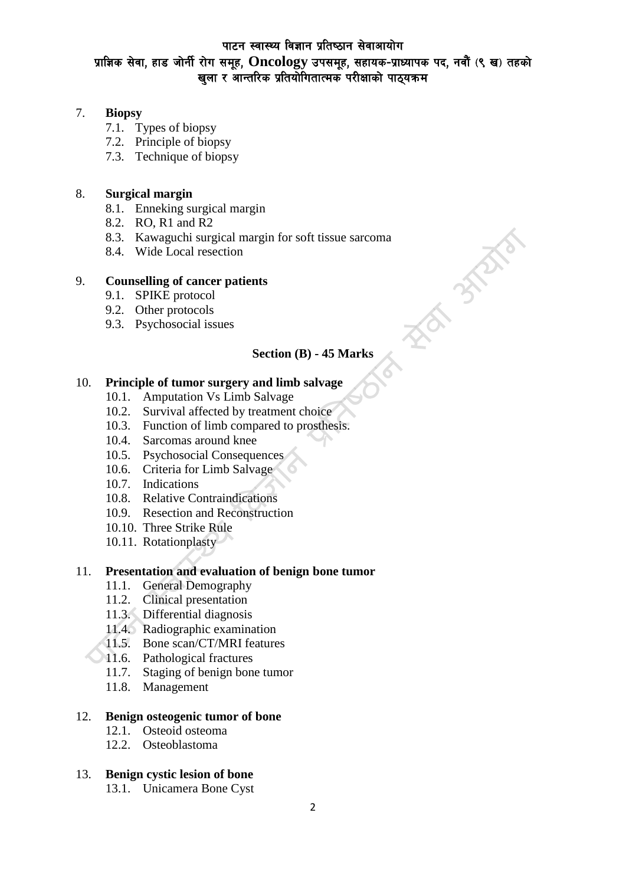## पाटन स्वास्थ्य विज्ञान प्रतिष्ठान सेवाआयोग

# प्राज्ञिक सेवा, हाड जोर्नी रोग समूह, Oncology उपसमूह, सहायक-प्राध्यापक पद, नवौं (९ ख) तहको खला र आन्तरिक प्रतियोगितात्मक परीक्षाको पाठयक्रम

### 7. **Biopsy**

- 7.1. Types of biopsy
- 7.2. Principle of biopsy
- 7.3. Technique of biopsy

## 8. **Surgical margin**

- 8.1. Enneking surgical margin
- 8.2. RO, R1 and R2
- 8.3. Kawaguchi surgical margin for soft tissue sarcoma
- 8.4. Wide Local resection

### 9. **Counselling of cancer patients**

- 9.1. SPIKE protocol
- 9.2. Other protocols
- 9.3. Psychosocial issues

# **Section (B) - 45 Marks**

**FOR STATE** 

# 10. **Principle of tumor surgery and limb salvage**

- 10.1. Amputation Vs Limb Salvage
- 10.2. Survival affected by treatment choice
- 10.3. Function of limb compared to prosthesis.
- 10.4. Sarcomas around knee
- 10.5. Psychosocial Consequences
- 10.6. Criteria for Limb Salvage
- 10.7. Indications
- 10.8. Relative Contraindications
- 10.9. Resection and Reconstruction
- 10.10. Three Strike Rule
- 10.11. Rotationplasty

#### 11. **Presentation and evaluation of benign bone tumor**

- 11.1. General Demography
- 11.2. Clinical presentation
- 11.3. Differential diagnosis
- 11.4. Radiographic examination
- 11.5. Bone scan/CT/MRI features
- 11.6. Pathological fractures
- 11.7. Staging of benign bone tumor
- 11.8. Management

#### 12. **Benign osteogenic tumor of bone**

- 12.1. Osteoid osteoma
- 12.2. Osteoblastoma

# 13. **Benign cystic lesion of bone**

13.1. Unicamera Bone Cyst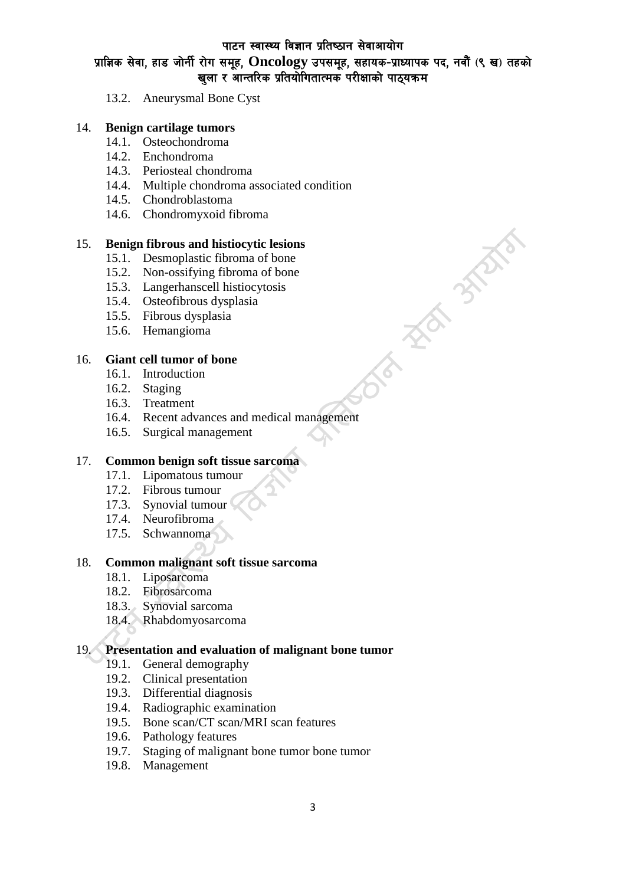# पाटन स्वास्थ्य विज्ञान प्रतिष्ठान सेवाआयोग प्राज्ञिक सेवा, हाड जोर्नी रोग समूह, Oncology उपसमूह, सहायक-प्राध्यापक पद, नवौं (९ ख) तहको खला र आन्तरिक प्रतियोगितात्मक परीक्षाको पाठयक्रम

**INDEPENDENT** 

13.2. Aneurysmal Bone Cyst

#### 14. **Benign cartilage tumors**

- 14.1. Osteochondroma
- 14.2. Enchondroma
- 14.3. Periosteal chondroma
- 14.4. Multiple chondroma associated condition
- 14.5. Chondroblastoma
- 14.6. Chondromyxoid fibroma

#### 15. **Benign fibrous and histiocytic lesions**

- 15.1. Desmoplastic fibroma of bone
- 15.2. Non-ossifying fibroma of bone
- 15.3. Langerhanscell histiocytosis
- 15.4. Osteofibrous dysplasia
- 15.5. Fibrous dysplasia
- 15.6. Hemangioma

#### 16. **Giant cell tumor of bone**

- 16.1. Introduction
- 16.2. Staging
- 16.3. Treatment
- 16.4. Recent advances and medical management
- 16.5. Surgical management

#### 17. **Common benign soft tissue sarcoma**

- 17.1. Lipomatous tumour
- 17.2. Fibrous tumour
- 17.3. Synovial tumour
- 17.4. Neurofibroma
- 17.5. Schwannoma

#### 18. **Common malignant soft tissue sarcoma**

- 18.1. Liposarcoma
- 18.2. Fibrosarcoma
- 18.3. Synovial sarcoma
- 18.4. Rhabdomyosarcoma

#### 19. **Presentation and evaluation of malignant bone tumor**

- 19.1. General demography
- 19.2. Clinical presentation
- 19.3. Differential diagnosis
- 19.4. Radiographic examination
- 19.5. Bone scan/CT scan/MRI scan features
- 19.6. Pathology features
- 19.7. Staging of malignant bone tumor bone tumor
- 19.8. Management